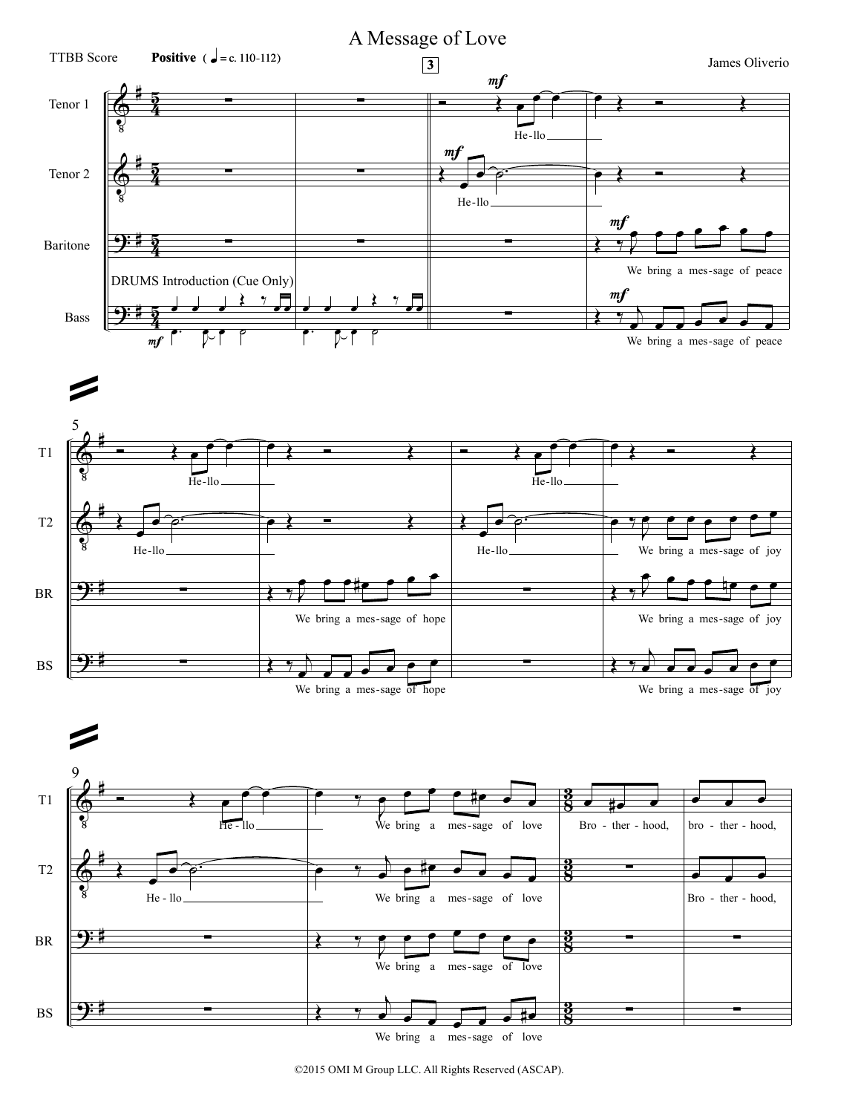

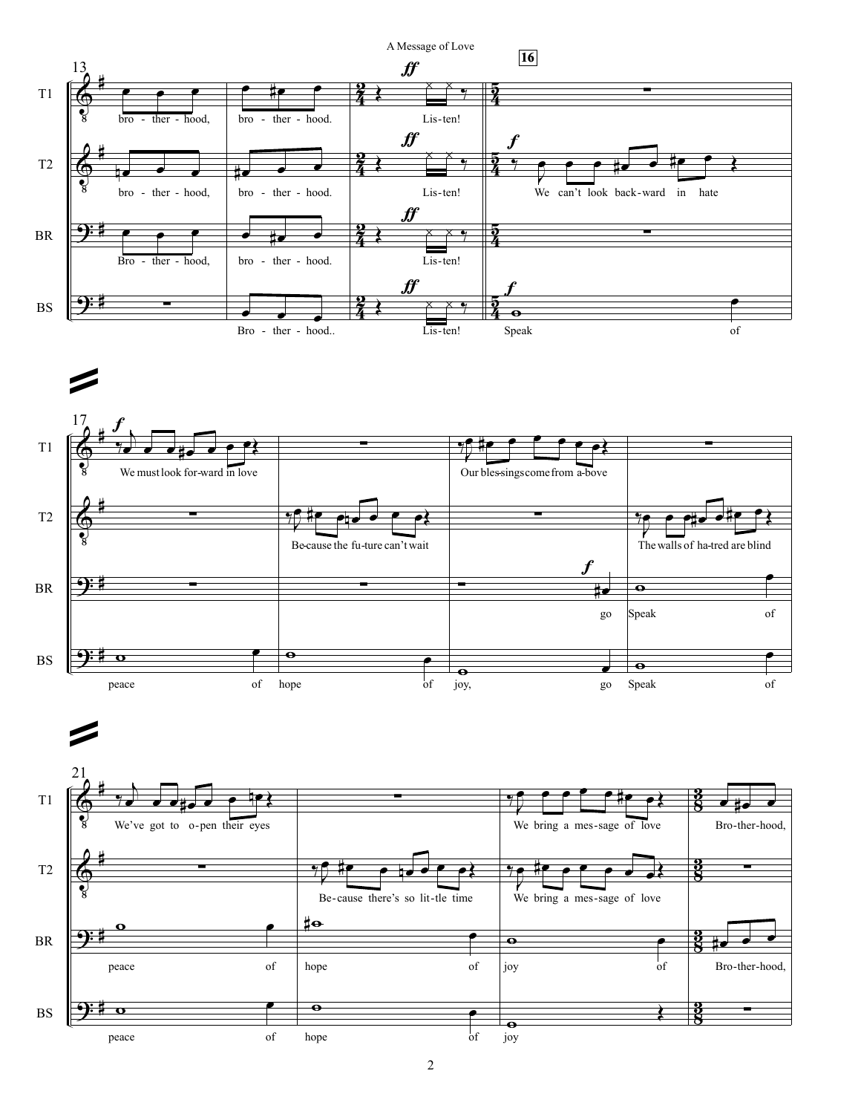



ª

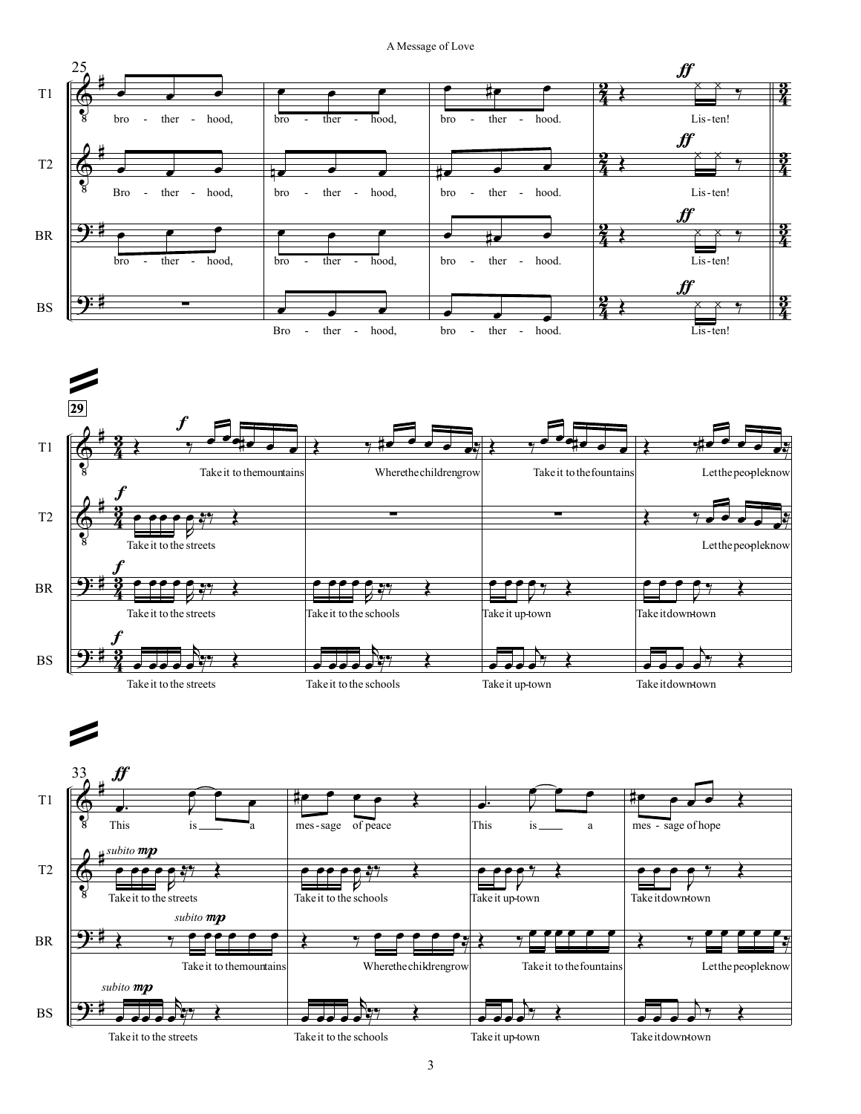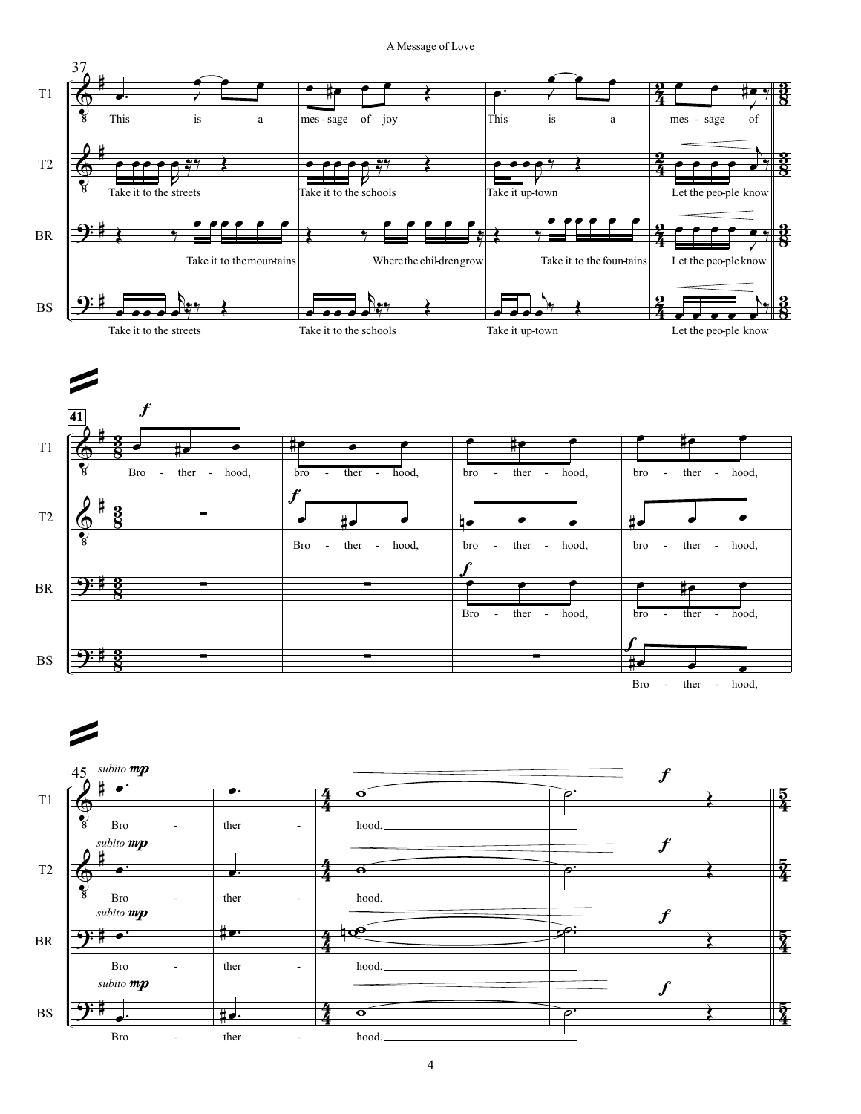A Message of Love

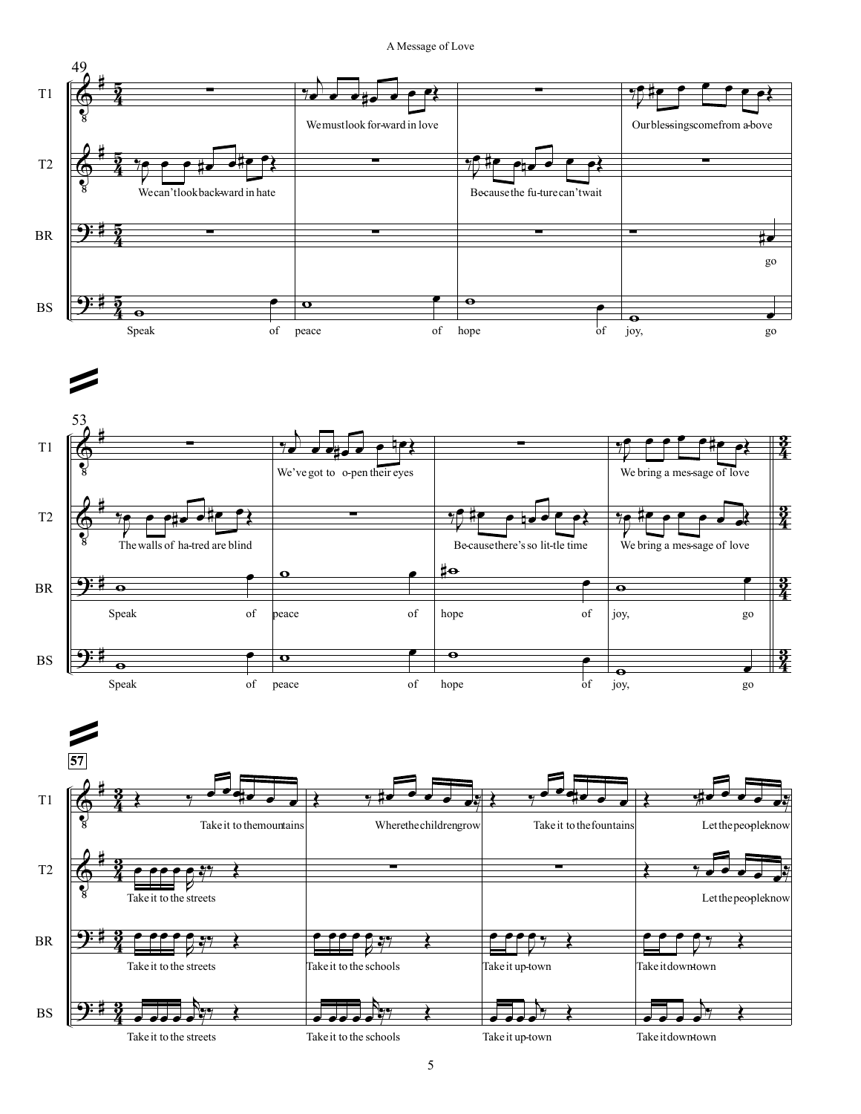A Message of Love





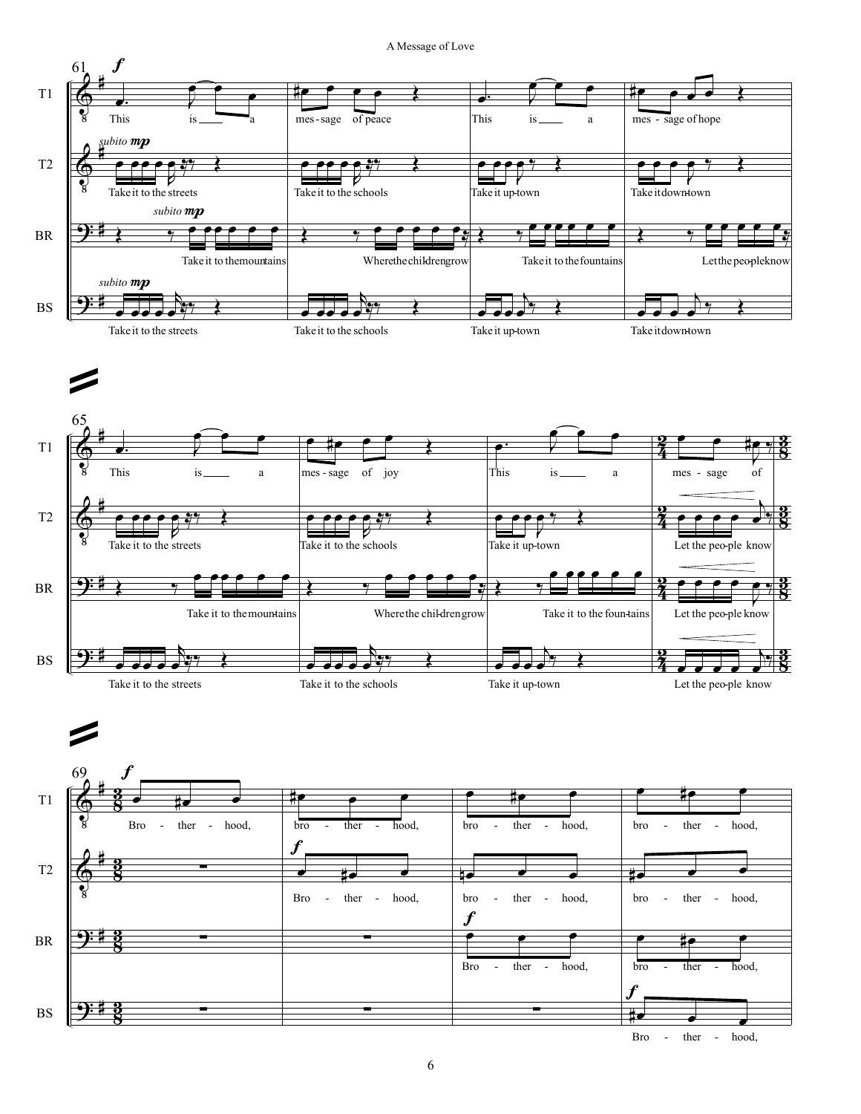A Message of Love

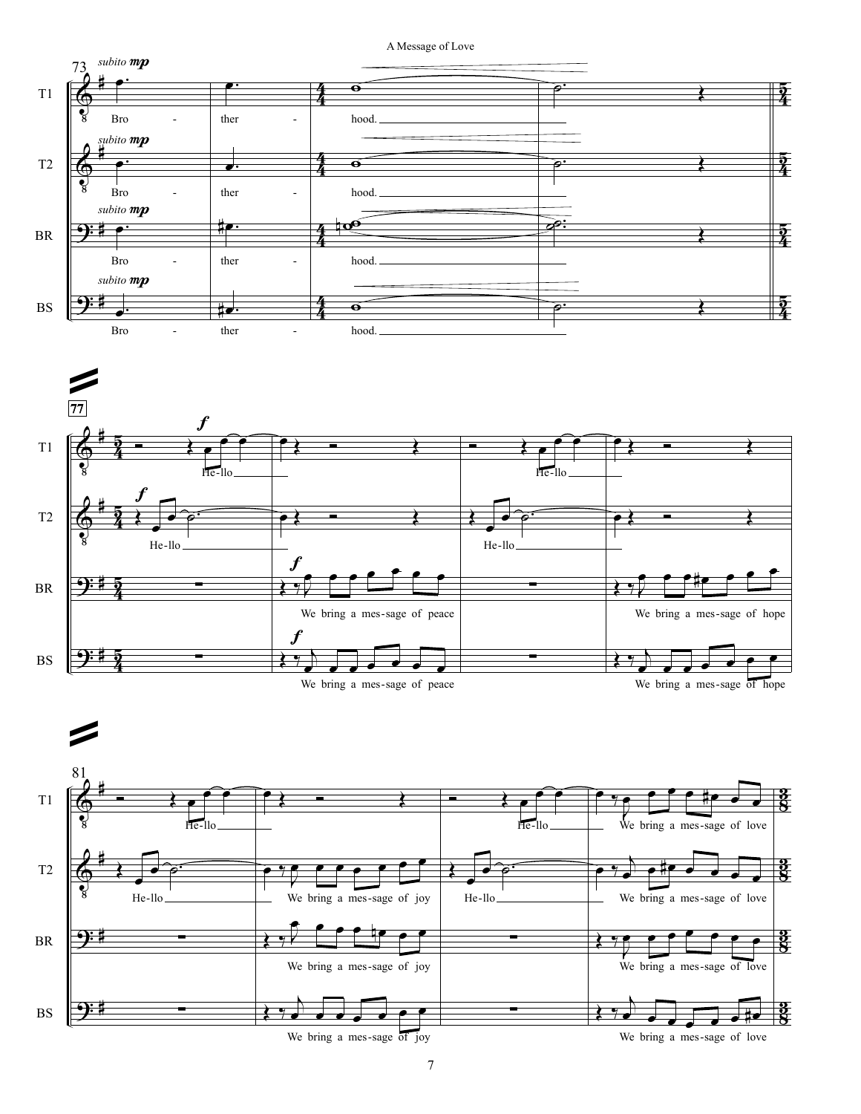